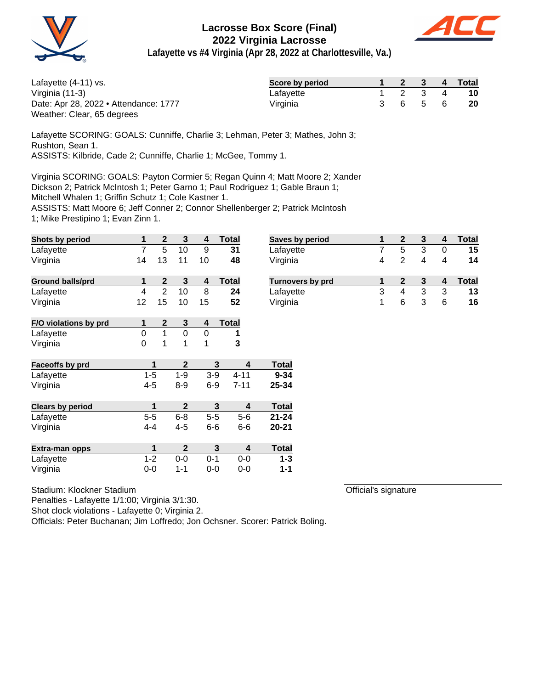



**Lafayette vs #4 Virginia (Apr 28, 2022 at Charlottesville, Va.)**

| Lafayette $(4-11)$ vs.                | Score by period |  | 2 3     | $\sqrt{4}$ | Total     |
|---------------------------------------|-----------------|--|---------|------------|-----------|
| Virginia (11-3)                       | Lafavette       |  | 2 3     | 4          | <b>10</b> |
| Date: Apr 28, 2022 • Attendance: 1777 | Virginia        |  | 3 6 5 7 | -6         | <b>20</b> |
| Weather: Clear, 65 degrees            |                 |  |         |            |           |

Lafayette SCORING: GOALS: Cunniffe, Charlie 3; Lehman, Peter 3; Mathes, John 3; Rushton, Sean 1. ASSISTS: Kilbride, Cade 2; Cunniffe, Charlie 1; McGee, Tommy 1.

Virginia SCORING: GOALS: Payton Cormier 5; Regan Quinn 4; Matt Moore 2; Xander

Dickson 2; Patrick McIntosh 1; Peter Garno 1; Paul Rodriguez 1; Gable Braun 1;

Mitchell Whalen 1; Griffin Schutz 1; Cole Kastner 1.

ASSISTS: Matt Moore 6; Jeff Conner 2; Connor Shellenberger 2; Patrick McIntosh

1; Mike Prestipino 1; Evan Zinn 1.

| <b>Shots by period</b>  | 1              | $\mathbf{2}$   | 3            | 4       | <b>Total</b> | <b>Saves</b>      |
|-------------------------|----------------|----------------|--------------|---------|--------------|-------------------|
| Lafayette               | $\overline{7}$ | 5              | 10           | 9       | 31           | Lafay             |
| Virginia                | 14             | 13             | 11           | 10      | 48           | Virgin            |
| <b>Ground balls/prd</b> | 1              | $\mathbf{2}$   | 3            | 4       | <b>Total</b> | Turno             |
| Lafayette               | 4              | $\overline{2}$ | 10           | 8       | 24           | Lafay             |
| Virginia                | 12             | 15             | 10           | 15      | 52           | Virgin            |
| F/O violations by prd   | 1              | $\mathbf 2$    | 3            | 4       | <b>Total</b> |                   |
| Lafayette               | 0              | 1              | 0            | 0       | 1            |                   |
| Virginia                | 0              | 1              | 1            | 1       | 3            |                   |
| Faceoffs by prd         | 1              |                | $\mathbf{2}$ |         | 3            | <b>Total</b><br>4 |
| Lafayette               | $1 - 5$        |                | $1 - 9$      | $3-9$   | $4 - 11$     | $9 - 34$          |
| Virginia                | 4-5            |                | $8 - 9$      | $6 - 9$ | $7 - 11$     | 25-34             |
| <b>Clears by period</b> | 1              |                | $\mathbf 2$  |         | 3            | <b>Total</b><br>4 |
| Lafayette               | $5-5$          |                | $6 - 8$      | $5-5$   | $5 - 6$      | $21 - 24$         |
| Virginia                | $4 - 4$        |                | $4 - 5$      | $6-6$   | $6-6$        | 20-21             |
| Extra-man opps          | 1              |                | $\mathbf{2}$ |         | 3            | Total<br>4        |
| Lafayette               | $1 - 2$        |                | $0-0$        | $0 - 1$ | $0-0$        | $1 - 3$           |
| Virginia                | $0-0$          |                | 1-1          | $0-0$   | $0 - 0$      | $1 - 1$           |

|  | Stadium: Klockner Stadium |  |
|--|---------------------------|--|
|--|---------------------------|--|

Penalties - Lafayette 1/1:00; Virginia 3/1:30.

Shot clock violations - Lafayette 0; Virginia 2.

Officials: Peter Buchanan; Jim Loffredo; Jon Ochsner. Scorer: Patrick Boling.

| <b>Saves by period</b>  |   |   |   |   | Total |
|-------------------------|---|---|---|---|-------|
| Lafayette               |   | 5 |   |   | 15    |
| Virginia                | 4 |   |   |   | 14    |
|                         |   |   |   |   |       |
| <b>Turnovers by prd</b> |   |   |   |   | Total |
| Lafayette               | 3 |   | 3 | 3 | 13    |

Official's signature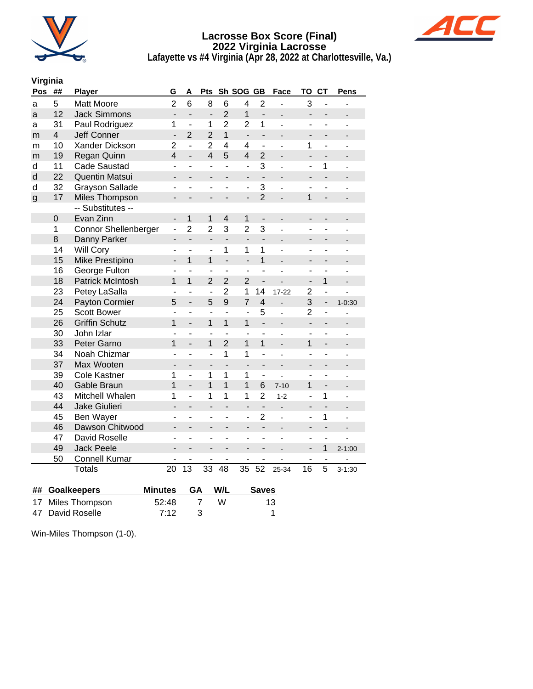



**Lafayette vs #4 Virginia (Apr 28, 2022 at Charlottesville, Va.)**

# **Virginia**

| Pos          | ##                      | <b>Player</b>                        | G                        | A                        | <b>Pts</b>               |                          | Sh SOG GB                    |                              | Face                         | TO                           | <b>CT</b>                | <b>Pens</b>              |
|--------------|-------------------------|--------------------------------------|--------------------------|--------------------------|--------------------------|--------------------------|------------------------------|------------------------------|------------------------------|------------------------------|--------------------------|--------------------------|
| a            | 5                       | <b>Matt Moore</b>                    | $\overline{2}$           | 6                        | 8                        | 6                        | 4                            | $\overline{2}$               |                              | 3                            | $\overline{\phantom{0}}$ |                          |
| a            | 12                      | <b>Jack Simmons</b>                  | $\overline{a}$           | $\overline{a}$           | $\overline{a}$           | $\overline{2}$           | $\mathbf{1}$                 | $\overline{a}$               |                              | $\overline{a}$               | $\overline{\phantom{0}}$ |                          |
| a            | 31                      | Paul Rodriguez                       | 1                        | $\overline{a}$           | 1                        | $\overline{2}$           | $\overline{2}$               | 1                            | ä,                           | ٠                            | ۰                        | $\overline{a}$           |
| m            | $\overline{\mathbf{4}}$ | <b>Jeff Conner</b>                   | $\overline{\phantom{a}}$ | $\overline{2}$           | $\overline{2}$           | $\overline{1}$           | $\qquad \qquad \blacksquare$ | $\qquad \qquad \blacksquare$ |                              | $\overline{\phantom{0}}$     | $\overline{a}$           |                          |
| m            | 10                      | Xander Dickson                       | $\overline{2}$           | $\overline{a}$           | $\overline{2}$           | 4                        | 4                            | L,                           |                              | 1                            | $\overline{\phantom{0}}$ |                          |
| m            | 19                      | Regan Quinn                          | $\overline{4}$           | $\overline{a}$           | $\overline{4}$           | 5                        | $\overline{4}$               | $\overline{2}$               | $\overline{\phantom{0}}$     | $\qquad \qquad \blacksquare$ | $\overline{\phantom{0}}$ |                          |
| d            | 11                      | Cade Saustad                         | ÷,                       | ÷,                       | ä,                       | ÷,                       | $\overline{a}$               | 3                            | $\overline{a}$               | ÷,                           | 1                        |                          |
| d            | 22                      | Quentin Matsui                       | $\overline{\phantom{a}}$ |                          | $\blacksquare$           | $\overline{\phantom{0}}$ | $\overline{\phantom{0}}$     |                              | $\blacksquare$               | $\overline{\phantom{a}}$     | $\overline{\phantom{0}}$ |                          |
| d            | 32                      | <b>Grayson Sallade</b>               |                          |                          |                          |                          | -                            | 3                            |                              | ۰                            |                          |                          |
| $\mathsf{g}$ | 17                      | Miles Thompson                       | -                        | $\overline{a}$           | $\overline{\phantom{0}}$ |                          | $\overline{\phantom{0}}$     | $\overline{2}$               | $\overline{\phantom{m}}$     | $\overline{1}$               | $\overline{\phantom{0}}$ |                          |
|              |                         | -- Substitutes --                    |                          |                          |                          |                          |                              |                              |                              |                              |                          |                          |
|              | $\mathsf 0$             | Evan Zinn                            | $\overline{\phantom{0}}$ | 1                        | $\mathbf 1$              | $\overline{4}$           | 1                            | $\qquad \qquad \blacksquare$ | $\frac{1}{2}$                | $\qquad \qquad \blacksquare$ | $\overline{a}$           | $\overline{a}$           |
|              | $\mathbf{1}$            | <b>Connor Shellenberger</b>          | $\overline{\phantom{0}}$ | $\overline{2}$           | $\overline{2}$           | 3                        | $\overline{2}$               | 3                            | ÷,                           | ٠                            | ä,                       |                          |
|              | 8                       | Danny Parker                         | $\overline{\phantom{0}}$ | $\overline{a}$           | $\overline{a}$           | $\overline{a}$           | $\overline{a}$               | $\overline{a}$               | $\overline{a}$               | $\overline{\phantom{a}}$     | $\overline{\phantom{0}}$ | L,                       |
|              | 14                      | Will Cory                            | ٠                        | ÷,                       |                          | 1                        | 1                            | 1                            | L.                           | ٠                            | $\overline{\phantom{0}}$ | L,                       |
|              | 15                      | <b>Mike Prestipino</b>               | $\overline{\phantom{0}}$ | 1                        | $\overline{1}$           | $\frac{1}{2}$            | $\overline{\phantom{a}}$     | $\overline{1}$               | $\overline{\phantom{0}}$     | -                            | $\overline{\phantom{0}}$ | $\overline{\phantom{a}}$ |
|              | 16                      | George Fulton                        | ÷,                       | $\overline{a}$           | ÷,                       | $\overline{a}$           | ÷,                           | L,                           |                              | ä,                           | ÷,                       |                          |
|              | 18                      | <b>Patrick McIntosh</b>              | 1                        | 1                        | $\overline{2}$           | $\overline{2}$           | $\overline{2}$               | $\overline{\phantom{0}}$     |                              | $\overline{\phantom{0}}$     | 1                        | $\overline{a}$           |
|              | 23                      | Petey LaSalla                        | ÷,                       | ÷,                       | $\overline{a}$           | $\overline{2}$           | 1                            | 14                           | 17-22                        | $\overline{2}$               | ä,                       |                          |
|              | 24                      | Payton Cormier                       | 5                        | $\overline{\phantom{a}}$ | 5                        | 9                        | 7                            | $\overline{\mathbf{4}}$      | $\frac{1}{2}$                | 3                            | $\overline{\phantom{0}}$ | $1 - 0.30$               |
|              | 25                      | <b>Scott Bower</b>                   | $\overline{\phantom{a}}$ | ÷,                       | $\overline{a}$           | $\overline{a}$           | $\overline{a}$               | 5                            | ä,                           | $\overline{2}$               | ٠                        | ÷,                       |
|              | 26                      | <b>Griffin Schutz</b>                | 1                        | $\overline{\phantom{0}}$ | 1                        | 1                        | 1                            | $\overline{\phantom{0}}$     | $\overline{\phantom{m}}$     | $\overline{\phantom{0}}$     | -                        | $\overline{\phantom{m}}$ |
|              | 30                      | John Izlar                           | ä,                       | ä,                       | ÷,                       | ä,                       | ÷,                           | L.                           |                              | ä,                           | ٠                        | L,                       |
|              | 33                      | Peter Garno                          | 1                        | $\overline{a}$           | $\mathbf{1}$             | $\overline{2}$           | 1                            | $\mathbf{1}$                 |                              | 1                            | $\overline{\phantom{0}}$ |                          |
|              | 34                      | Noah Chizmar                         | ÷,                       | ÷,                       | $\overline{a}$           | $\mathbf 1$              | 1                            | $\overline{\phantom{a}}$     | ÷,                           | $\overline{\phantom{0}}$     | $\overline{\phantom{0}}$ | $\overline{a}$           |
|              | 37                      | Max Wooten                           | $\overline{\phantom{0}}$ | $\overline{a}$           | $\overline{a}$           | $\overline{a}$           | $\overline{a}$               | $\overline{a}$               | ÷,                           | ۰                            | $\overline{a}$           |                          |
|              | 39                      | <b>Cole Kastner</b>                  | 1                        | ÷,                       | 1                        | 1                        | 1                            | $\overline{a}$               |                              | ä,                           | ÷,                       | ä,                       |
|              | 40                      | Gable Braun                          | 1                        | ÷,                       | $\mathbf{1}$             | $\overline{1}$           | $\mathbf{1}$                 | 6                            | $7 - 10$                     | 1                            | $\overline{a}$           |                          |
|              | 43                      | Mitchell Whalen                      | 1                        | $\overline{a}$           | 1                        | 1                        | 1                            | $\overline{2}$               | $1 - 2$                      | $\overline{a}$               | 1                        |                          |
|              | 44                      | Jake Giulieri                        | $\overline{\phantom{0}}$ | $\overline{a}$           | $\overline{\phantom{a}}$ | $\overline{a}$           | $\overline{\phantom{0}}$     | $\overline{\phantom{0}}$     | $\blacksquare$               | $\overline{\phantom{0}}$     | $\frac{1}{2}$            | L.                       |
|              | 45                      | Ben Wayer                            | ÷,                       | ÷,                       | ÷,                       | ÷,                       | ÷,                           | $\overline{2}$               | $\overline{a}$               | ÷,                           | 1                        |                          |
|              | 46                      | Dawson Chitwood                      | -                        | $\blacksquare$           | ÷                        | $\blacksquare$           | $\blacksquare$               | $\overline{a}$               | $\overline{\phantom{a}}$     | -                            | $\overline{\phantom{0}}$ |                          |
|              | 47                      | David Roselle                        | ٠                        | ÷,                       | $\blacksquare$           | $\blacksquare$           | ٠                            | ÷,                           | ÷                            | ٠                            | $\overline{\phantom{0}}$ | ÷                        |
|              | 49                      | <b>Jack Peele</b>                    | -                        | -                        | -                        | $\overline{\phantom{0}}$ | $\overline{\phantom{0}}$     | $\overline{\phantom{0}}$     | $\qquad \qquad \blacksquare$ | -                            | 1                        | $2 - 1:00$               |
|              | 50                      | <b>Connell Kumar</b>                 | ÷,                       | ÷,                       | ÷,                       | ä,                       | ÷,                           | ä,                           | ÷                            | ÷,                           | ÷,                       |                          |
|              |                         | <b>Totals</b>                        | 20                       | 13                       | 33                       | 48                       | 35                           | 52                           | 25-34                        | 16                           | 5                        | $3 - 1:30$               |
| ##           |                         | <b>Goalkeepers</b><br><b>Minutes</b> |                          | GA                       |                          | W/L                      |                              | <b>Saves</b>                 |                              |                              |                          |                          |

Win-Miles Thompson (1-0).

17 Miles Thompson 52:48 7 W 13 47 David Roselle 7:12 3 1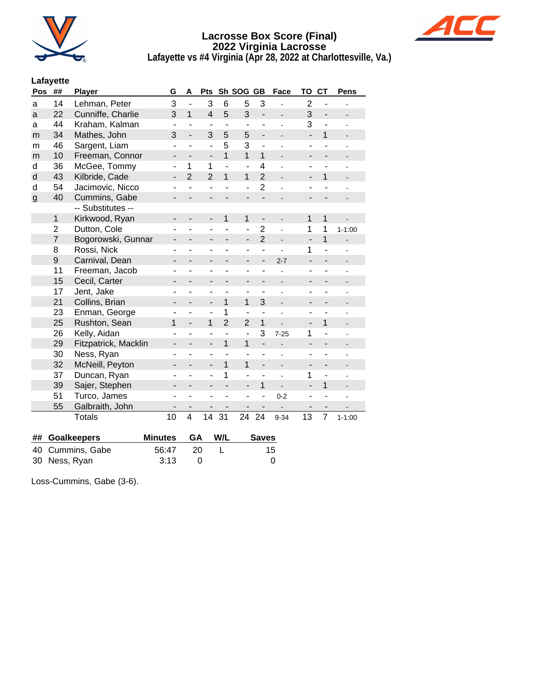



**Lafayette vs #4 Virginia (Apr 28, 2022 at Charlottesville, Va.)**

## **Lafayette**

| Pos          | ##             | Player               | G                        | Α                        | Pts                          |                              | Sh SOG GB                    |                          | Face                         | TO                           | <b>CT</b>                | Pens                         |
|--------------|----------------|----------------------|--------------------------|--------------------------|------------------------------|------------------------------|------------------------------|--------------------------|------------------------------|------------------------------|--------------------------|------------------------------|
| a            | 14             | Lehman, Peter        | 3                        | $\overline{\phantom{a}}$ | 3                            | 6                            | 5                            | 3                        |                              | $\overline{2}$               | ÷,                       |                              |
| a            | 22             | Cunniffe, Charlie    | 3                        | $\mathbf{1}$             | $\overline{4}$               | 5                            | 3                            | $\overline{\phantom{0}}$ |                              | 3                            | $\overline{a}$           |                              |
| a            | 44             | Kraham, Kalman       | ۰                        | ٠                        | $\overline{\phantom{a}}$     | $\qquad \qquad \blacksquare$ | ۰                            |                          |                              | 3                            | ٠                        |                              |
| m            | 34             | Mathes, John         | 3                        | $\overline{\phantom{a}}$ | 3                            | 5                            | 5                            | $\overline{\phantom{0}}$ | $\centerdot$                 | L,                           | $\mathbf{1}$             | $\overline{\phantom{0}}$     |
| m            | 46             | Sargent, Liam        | ٠                        | ٠                        | $\overline{\phantom{0}}$     | 5                            | 3                            | $\overline{\phantom{0}}$ |                              | -                            | ٠                        |                              |
| m            | 10             | Freeman, Connor      | $\overline{\phantom{0}}$ | $\overline{a}$           | $\overline{\phantom{a}}$     | $\overline{1}$               | $\mathbf{1}$                 | $\mathbf{1}$             |                              | $\overline{\phantom{0}}$     | $\overline{\phantom{0}}$ |                              |
| d            | 36             | McGee, Tommy         | ۰                        | 1                        | $\mathbf{1}$                 | ÷,                           | $\overline{a}$               | $\overline{4}$           |                              | $\qquad \qquad \blacksquare$ | ÷,                       |                              |
| d            | 43             | Kilbride, Cade       | -                        | $\overline{2}$           | $\overline{2}$               | $\mathbf{1}$                 | 1                            | $\overline{2}$           |                              | -                            | $\mathbf{1}$             |                              |
| d            | 54             | Jacimovic, Nicco     | ۰                        | ÷,                       | $\overline{\phantom{0}}$     | ä,                           | L,                           | $\overline{2}$           | ä,                           | ۳                            | ÷,                       |                              |
| $\mathsf{g}$ | 40             | Cummins, Gabe        | $\overline{\phantom{0}}$ |                          | $\overline{\phantom{a}}$     |                              | $\overline{\phantom{0}}$     | $\overline{\phantom{0}}$ |                              | $\overline{a}$               |                          |                              |
|              |                | -- Substitutes --    |                          |                          |                              |                              |                              |                          |                              |                              |                          |                              |
|              | $\mathbf{1}$   | Kirkwood, Ryan       | -                        | -                        | $\overline{\phantom{a}}$     | 1                            | 1                            | $\overline{\phantom{m}}$ | $\qquad \qquad \blacksquare$ | 1                            | $\mathbf{1}$             |                              |
|              | $\overline{2}$ | Dutton, Cole         | ٠                        | L.                       | ۰                            | ÷.                           | ÷,                           | $\overline{2}$           | $\overline{a}$               | 1                            | 1                        | $1 - 1:00$                   |
|              | $\overline{7}$ | Bogorowski, Gunnar   | $\overline{\phantom{0}}$ | -                        | $\overline{\phantom{a}}$     | $\overline{\phantom{0}}$     | $\qquad \qquad \blacksquare$ | $\overline{2}$           | $\overline{a}$               | $\overline{a}$               | $\overline{1}$           |                              |
|              | 8              | Rossi, Nick          | ۰                        | -                        | $\overline{\phantom{a}}$     | ۳                            | ÷,                           | ä,                       |                              | 1                            | ä,                       |                              |
|              | 9              | Carnival, Dean       | -                        | -                        | -                            |                              | -                            | $\overline{\phantom{0}}$ | $2 - 7$                      | $\overline{\phantom{0}}$     |                          |                              |
|              | 11             | Freeman, Jacob       | ۰                        | ÷                        | $\overline{\phantom{a}}$     | ۰                            | ۰                            | ۰                        | ÷                            | -                            | ÷,                       |                              |
|              | 15             | Cecil, Carter        | $\overline{\phantom{0}}$ | -                        | $\qquad \qquad \blacksquare$ | $\overline{\phantom{0}}$     | $\overline{\phantom{0}}$     | $\overline{\phantom{0}}$ | $\qquad \qquad \blacksquare$ | $\overline{\phantom{0}}$     | $\overline{\phantom{0}}$ |                              |
|              | 17             | Jent, Jake           | ۰                        | L                        | $\overline{\phantom{a}}$     | ÷,                           | ÷,                           |                          |                              | $\overline{a}$               | ۰                        |                              |
|              | 21             | Collins, Brian       | -                        | $\overline{a}$           | $\qquad \qquad \blacksquare$ | $\mathbf{1}$                 | 1                            | 3                        | $\qquad \qquad \blacksquare$ | -                            | $\overline{\phantom{0}}$ | -                            |
|              | 23             | Enman, George        | ÷,                       | L,                       | ä,                           | 1                            | ä,                           | ä,                       | $\overline{\phantom{a}}$     | ٠                            | ä,                       | ÷                            |
|              | 25             | Rushton, Sean        | $\mathbf{1}$             | $\overline{\phantom{0}}$ | $\mathbf{1}$                 | $\overline{2}$               | $\overline{2}$               | $\mathbf{1}$             |                              | $\overline{a}$               | $\mathbf{1}$             | $\frac{1}{2}$                |
|              | 26             | Kelly, Aidan         | ÷,                       | L                        | $\blacksquare$               | ä,                           | $\overline{a}$               | 3                        | $7 - 25$                     | 1                            | ä,                       |                              |
|              | 29             | Fitzpatrick, Macklin | -                        |                          | $\qquad \qquad \blacksquare$ | $\mathbf{1}$                 | 1                            | $\overline{\phantom{0}}$ |                              | -                            | $\overline{\phantom{0}}$ |                              |
|              | 30             | Ness, Ryan           | ٠                        | L                        | $\blacksquare$               | ä,                           | $\overline{a}$               |                          | ÷                            | ä,                           | ÷,                       |                              |
|              | 32             | McNeill, Peyton      | -                        | $\overline{a}$           | $\overline{\phantom{a}}$     | 1                            | 1                            | $\overline{a}$           | $\blacksquare$               | $\overline{\phantom{a}}$     | $\overline{\phantom{0}}$ | $\qquad \qquad \blacksquare$ |
|              | 37             | Duncan, Ryan         | ۰                        |                          | ÷,                           | 1                            | ÷,                           |                          |                              | 1                            | ÷,                       | $\blacksquare$               |
|              | 39             | Sajer, Stephen       | -                        | -                        | $\overline{\phantom{a}}$     |                              | $\overline{a}$               | $\mathbf{1}$             | $\qquad \qquad \blacksquare$ | $\overline{a}$               | $\mathbf{1}$             | $\qquad \qquad \blacksquare$ |
|              | 51             | Turco, James         | ٠                        | ۰                        | $\overline{\phantom{a}}$     | $\overline{\phantom{0}}$     | ٠                            | ٠                        | $0 - 2$                      | $\blacksquare$               | $\overline{\phantom{m}}$ | $\blacksquare$               |
|              | 55             | Galbraith, John      |                          |                          |                              |                              |                              |                          |                              |                              | $\overline{\phantom{0}}$ |                              |
|              |                | <b>Totals</b>        | 10                       | $\overline{4}$           | 14                           | 31                           | 24                           | 24                       | $9 - 34$                     | 13                           | $\overline{7}$           | $1 - 1:00$                   |
|              |                |                      |                          |                          |                              |                              |                              |                          |                              |                              |                          |                              |

| ## Goalkeepers   | Minutes GA W/L |      | <b>Saves</b> |
|------------------|----------------|------|--------------|
| 40 Cummins, Gabe | 56:47          | - 20 | 15           |
| 30 Ness, Ryan    | -3:13          |      |              |

Loss-Cummins, Gabe (3-6).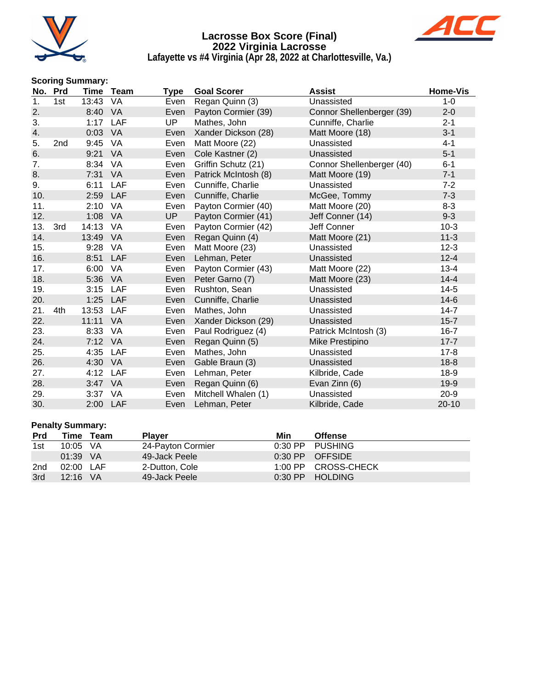



**Lafayette vs #4 Virginia (Apr 28, 2022 at Charlottesville, Va.)**

# **Scoring Summary:**

| No. | Prd |          | Time Team  | <b>Type</b> | <b>Goal Scorer</b>   | <b>Assist</b>             | <b>Home-Vis</b> |
|-----|-----|----------|------------|-------------|----------------------|---------------------------|-----------------|
| 1.  | 1st | 13:43    | VA         | Even        | Regan Quinn (3)      | Unassisted                | $1 - 0$         |
| 2.  |     | 8:40     | VA         | Even        | Payton Cormier (39)  | Connor Shellenberger (39) | $2 - 0$         |
| 3.  |     | 1:17 LAF |            | UP          | Mathes, John         | Cunniffe, Charlie         | $2 - 1$         |
| 4.  |     | 0:03     | VA         | Even        | Xander Dickson (28)  | Matt Moore (18)           | $3 - 1$         |
| 5.  | 2nd | 9:45     | VA         | Even        | Matt Moore (22)      | Unassisted                | $4 - 1$         |
| 6.  |     | 9:21     | VA         | Even        | Cole Kastner (2)     | Unassisted                | $5-1$           |
| 7.  |     | 8:34     | VA         | Even        | Griffin Schutz (21)  | Connor Shellenberger (40) | $6 - 1$         |
| 8.  |     | 7:31     | <b>VA</b>  | Even        | Patrick McIntosh (8) | Matt Moore (19)           | $7 - 1$         |
| 9.  |     | 6:11     | LAF        | Even        | Cunniffe, Charlie    | Unassisted                | $7 - 2$         |
| 10. |     | 2:59     | <b>LAF</b> | Even        | Cunniffe, Charlie    | McGee, Tommy              | $7 - 3$         |
| 11. |     | 2:10     | VA         | Even        | Payton Cormier (40)  | Matt Moore (20)           | $8 - 3$         |
| 12. |     | 1:08     | VA         | <b>UP</b>   | Payton Cormier (41)  | Jeff Conner (14)          | $9 - 3$         |
| 13. | 3rd | 14:13    | VA         | Even        | Payton Cormier (42)  | Jeff Conner               | $10-3$          |
| 14. |     | 13:49    | VA         | Even        | Regan Quinn (4)      | Matt Moore (21)           | $11 - 3$        |
| 15. |     | 9:28     | VA         | Even        | Matt Moore (23)      | Unassisted                | $12 - 3$        |
| 16. |     | 8:51     | <b>LAF</b> | Even        | Lehman, Peter        | Unassisted                | $12 - 4$        |
| 17. |     | 6:00     | VA         | Even        | Payton Cormier (43)  | Matt Moore (22)           | $13 - 4$        |
| 18. |     | 5:36     | VA         | Even        | Peter Garno (7)      | Matt Moore (23)           | $14 - 4$        |
| 19. |     | 3:15     | LAF        | Even        | Rushton, Sean        | Unassisted                | $14-5$          |
| 20. |     | 1:25     | LAF        | Even        | Cunniffe, Charlie    | Unassisted                | $14-6$          |
| 21. | 4th | 13:53    | LAF        | Even        | Mathes, John         | Unassisted                | $14 - 7$        |
| 22. |     | 11:11    | <b>VA</b>  | Even        | Xander Dickson (29)  | Unassisted                | $15 - 7$        |
| 23. |     | 8:33     | VA         | Even        | Paul Rodriguez (4)   | Patrick McIntosh (3)      | $16 - 7$        |
| 24. |     | 7:12 VA  |            | Even        | Regan Quinn (5)      | Mike Prestipino           | $17 - 7$        |
| 25. |     | 4:35     | LAF        | Even        | Mathes, John         | Unassisted                | $17 - 8$        |
| 26. |     | 4:30     | VA         | Even        | Gable Braun (3)      | Unassisted                | $18-8$          |
| 27. |     | 4:12     | LAF        | Even        | Lehman, Peter        | Kilbride, Cade            | $18-9$          |
| 28. |     | 3:47     | <b>VA</b>  | Even        | Regan Quinn (6)      | Evan Zinn (6)             | $19-9$          |
| 29. |     | 3:37     | VA         | Even        | Mitchell Whalen (1)  | Unassisted                | $20 - 9$        |
| 30. |     | 2:00 LAF |            | Even        | Lehman, Peter        | Kilbride, Cade            | $20 - 10$       |

# **Penalty Summary:**

| <b>Prd</b> | Time       | Team | <b>Plaver</b>     | Min | <b>Offense</b>      |
|------------|------------|------|-------------------|-----|---------------------|
| 1st        | 10:05 VA   |      | 24-Payton Cormier |     | 0:30 PP PUSHING     |
|            | $01:39$ VA |      | 49-Jack Peele     |     | $0:30$ PP OFFSIDE   |
| 2nd        | 02:00 LAF  |      | 2-Dutton, Cole    |     | 1:00 PP CROSS-CHECK |
| 3rd        | $12:16$ VA |      | 49-Jack Peele     |     | 0:30 PP HOLDING     |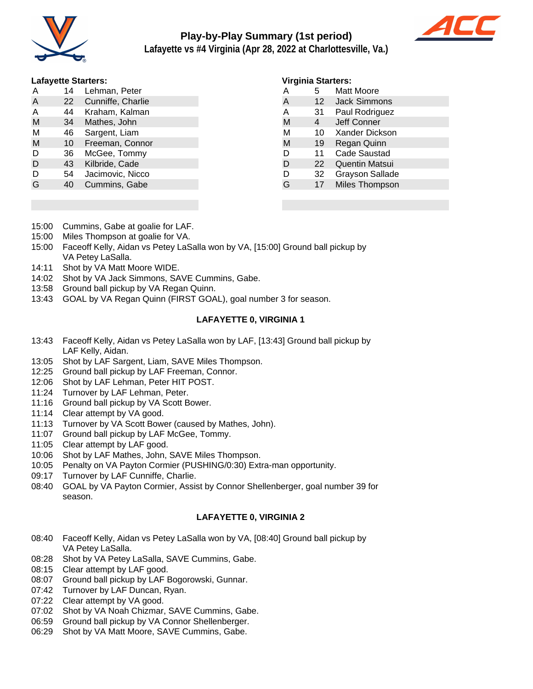

# **Play-by-Play Summary (1st period)**



**Lafayette vs #4 Virginia (Apr 28, 2022 at Charlottesville, Va.)**

#### **Lafayette Starters:**

| A | 14 | Lehman, Peter     |
|---|----|-------------------|
| A | 22 | Cunniffe, Charlie |
| Α | 44 | Kraham, Kalman    |
| M | 34 | Mathes, John      |
| М | 46 | Sargent, Liam     |
| М | 10 | Freeman, Connor   |
| D | 36 | McGee, Tommy      |
| D | 43 | Kilbride, Cade    |
| D | 54 | Jacimovic, Nicco  |
| G | 40 | Cummins, Gabe     |
|   |    |                   |

#### **Virginia Starters:**

| А | 5  | Matt Moore             |  |
|---|----|------------------------|--|
| A | 12 | <b>Jack Simmons</b>    |  |
| A | 31 | Paul Rodriguez         |  |
| M | 4  | Jeff Conner            |  |
| М | 10 | Xander Dickson         |  |
| M | 19 | Regan Quinn            |  |
| D | 11 | <b>Cade Saustad</b>    |  |
| D | 22 | <b>Quentin Matsui</b>  |  |
| D | 32 | <b>Grayson Sallade</b> |  |
| G | 17 | Miles Thompson         |  |
|   |    |                        |  |

- 15:00 Cummins, Gabe at goalie for LAF.
- 15:00 Miles Thompson at goalie for VA.
- 15:00 Faceoff Kelly, Aidan vs Petey LaSalla won by VA, [15:00] Ground ball pickup by VA Petey LaSalla.
- 14:11 Shot by VA Matt Moore WIDE.
- 14:02 Shot by VA Jack Simmons, SAVE Cummins, Gabe.
- 13:58 Ground ball pickup by VA Regan Quinn.
- 13:43 GOAL by VA Regan Quinn (FIRST GOAL), goal number 3 for season.

## **LAFAYETTE 0, VIRGINIA 1**

- 13:43 Faceoff Kelly, Aidan vs Petey LaSalla won by LAF, [13:43] Ground ball pickup by LAF Kelly, Aidan.
- 13:05 Shot by LAF Sargent, Liam, SAVE Miles Thompson.
- 12:25 Ground ball pickup by LAF Freeman, Connor.
- 12:06 Shot by LAF Lehman, Peter HIT POST.
- 11:24 Turnover by LAF Lehman, Peter.
- 11:16 Ground ball pickup by VA Scott Bower.
- 11:14 Clear attempt by VA good.
- 11:13 Turnover by VA Scott Bower (caused by Mathes, John).
- 11:07 Ground ball pickup by LAF McGee, Tommy.
- 11:05 Clear attempt by LAF good.
- 10:06 Shot by LAF Mathes, John, SAVE Miles Thompson.
- 10:05 Penalty on VA Payton Cormier (PUSHING/0:30) Extra-man opportunity.
- 09:17 Turnover by LAF Cunniffe, Charlie.
- 08:40 GOAL by VA Payton Cormier, Assist by Connor Shellenberger, goal number 39 for season.

## **LAFAYETTE 0, VIRGINIA 2**

- 08:40 Faceoff Kelly, Aidan vs Petey LaSalla won by VA, [08:40] Ground ball pickup by VA Petey LaSalla.
- 08:28 Shot by VA Petey LaSalla, SAVE Cummins, Gabe.
- 08:15 Clear attempt by LAF good.
- 08:07 Ground ball pickup by LAF Bogorowski, Gunnar.
- 07:42 Turnover by LAF Duncan, Ryan.
- 07:22 Clear attempt by VA good.
- 07:02 Shot by VA Noah Chizmar, SAVE Cummins, Gabe.
- 06:59 Ground ball pickup by VA Connor Shellenberger.
- 06:29 Shot by VA Matt Moore, SAVE Cummins, Gabe.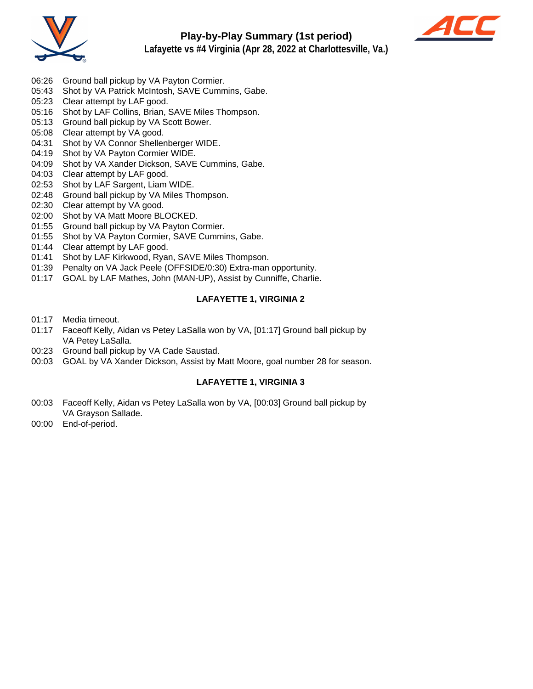



- **Lafayette vs #4 Virginia (Apr 28, 2022 at Charlottesville, Va.)**
- 06:26 Ground ball pickup by VA Payton Cormier.
- 05:43 Shot by VA Patrick McIntosh, SAVE Cummins, Gabe.
- 05:23 Clear attempt by LAF good.
- 05:16 Shot by LAF Collins, Brian, SAVE Miles Thompson.
- 05:13 Ground ball pickup by VA Scott Bower.
- 05:08 Clear attempt by VA good.
- 04:31 Shot by VA Connor Shellenberger WIDE.
- 04:19 Shot by VA Payton Cormier WIDE.
- 04:09 Shot by VA Xander Dickson, SAVE Cummins, Gabe.
- 04:03 Clear attempt by LAF good.
- 02:53 Shot by LAF Sargent, Liam WIDE.
- 02:48 Ground ball pickup by VA Miles Thompson.
- 02:30 Clear attempt by VA good.
- 02:00 Shot by VA Matt Moore BLOCKED.
- 01:55 Ground ball pickup by VA Payton Cormier.
- 01:55 Shot by VA Payton Cormier, SAVE Cummins, Gabe.
- 01:44 Clear attempt by LAF good.
- 01:41 Shot by LAF Kirkwood, Ryan, SAVE Miles Thompson.
- 01:39 Penalty on VA Jack Peele (OFFSIDE/0:30) Extra-man opportunity.
- 01:17 GOAL by LAF Mathes, John (MAN-UP), Assist by Cunniffe, Charlie.

## **LAFAYETTE 1, VIRGINIA 2**

- 01:17 Media timeout.
- 01:17 Faceoff Kelly, Aidan vs Petey LaSalla won by VA, [01:17] Ground ball pickup by VA Petey LaSalla.
- 00:23 Ground ball pickup by VA Cade Saustad.
- 00:03 GOAL by VA Xander Dickson, Assist by Matt Moore, goal number 28 for season.

## **LAFAYETTE 1, VIRGINIA 3**

- 00:03 Faceoff Kelly, Aidan vs Petey LaSalla won by VA, [00:03] Ground ball pickup by VA Grayson Sallade.
- 00:00 End-of-period.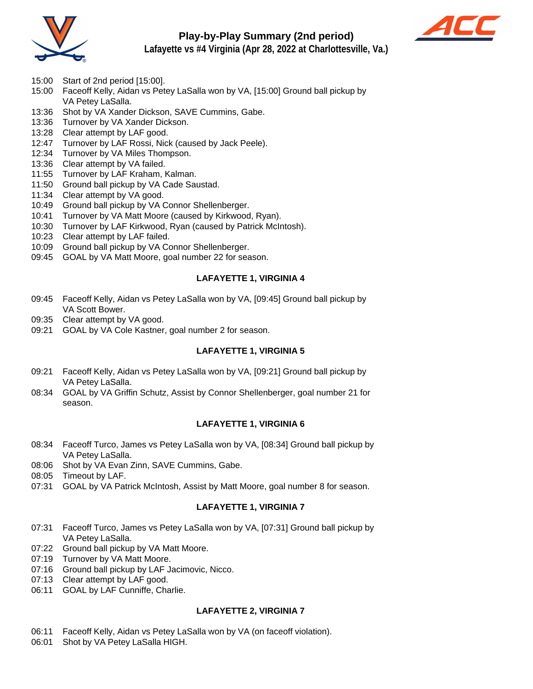

# **Play-by-Play Summary (2nd period)**



**Lafayette vs #4 Virginia (Apr 28, 2022 at Charlottesville, Va.)**

- 15:00 Start of 2nd period [15:00].
- 15:00 Faceoff Kelly, Aidan vs Petey LaSalla won by VA, [15:00] Ground ball pickup by VA Petey LaSalla.
- 13:36 Shot by VA Xander Dickson, SAVE Cummins, Gabe.
- 13:36 Turnover by VA Xander Dickson.
- 13:28 Clear attempt by LAF good.
- 12:47 Turnover by LAF Rossi, Nick (caused by Jack Peele).
- 12:34 Turnover by VA Miles Thompson.
- 13:36 Clear attempt by VA failed.
- 11:55 Turnover by LAF Kraham, Kalman.
- 11:50 Ground ball pickup by VA Cade Saustad.
- 11:34 Clear attempt by VA good.
- 10:49 Ground ball pickup by VA Connor Shellenberger.
- 10:41 Turnover by VA Matt Moore (caused by Kirkwood, Ryan).
- 10:30 Turnover by LAF Kirkwood, Ryan (caused by Patrick McIntosh).
- 10:23 Clear attempt by LAF failed.
- 10:09 Ground ball pickup by VA Connor Shellenberger.
- 09:45 GOAL by VA Matt Moore, goal number 22 for season.

# **LAFAYETTE 1, VIRGINIA 4**

- 09:45 Faceoff Kelly, Aidan vs Petey LaSalla won by VA, [09:45] Ground ball pickup by VA Scott Bower.
- 09:35 Clear attempt by VA good.
- 09:21 GOAL by VA Cole Kastner, goal number 2 for season.

# **LAFAYETTE 1, VIRGINIA 5**

- 09:21 Faceoff Kelly, Aidan vs Petey LaSalla won by VA, [09:21] Ground ball pickup by VA Petey LaSalla.
- 08:34 GOAL by VA Griffin Schutz, Assist by Connor Shellenberger, goal number 21 for season.

## **LAFAYETTE 1, VIRGINIA 6**

- 08:34 Faceoff Turco, James vs Petey LaSalla won by VA, [08:34] Ground ball pickup by VA Petey LaSalla.
- 08:06 Shot by VA Evan Zinn, SAVE Cummins, Gabe.
- 08:05 Timeout by LAF.
- 07:31 GOAL by VA Patrick McIntosh, Assist by Matt Moore, goal number 8 for season.

# **LAFAYETTE 1, VIRGINIA 7**

- 07:31 Faceoff Turco, James vs Petey LaSalla won by VA, [07:31] Ground ball pickup by VA Petey LaSalla.
- 07:22 Ground ball pickup by VA Matt Moore.
- 07:19 Turnover by VA Matt Moore.
- 07:16 Ground ball pickup by LAF Jacimovic, Nicco.
- 07:13 Clear attempt by LAF good.
- 06:11 GOAL by LAF Cunniffe, Charlie.

## **LAFAYETTE 2, VIRGINIA 7**

- 06:11 Faceoff Kelly, Aidan vs Petey LaSalla won by VA (on faceoff violation).
- 06:01 Shot by VA Petey LaSalla HIGH.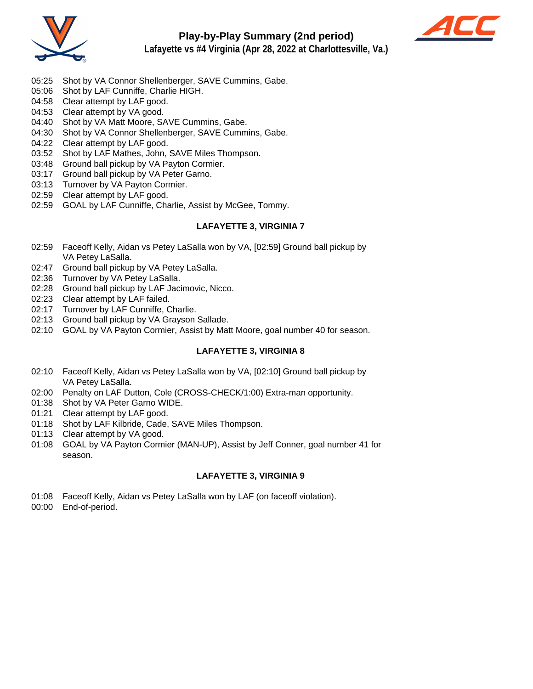



- 
- 05:25 Shot by VA Connor Shellenberger, SAVE Cummins, Gabe.
- 05:06 Shot by LAF Cunniffe, Charlie HIGH.
- 04:58 Clear attempt by LAF good.
- 04:53 Clear attempt by VA good.
- 04:40 Shot by VA Matt Moore, SAVE Cummins, Gabe.
- 04:30 Shot by VA Connor Shellenberger, SAVE Cummins, Gabe.
- 04:22 Clear attempt by LAF good.
- 03:52 Shot by LAF Mathes, John, SAVE Miles Thompson.
- 03:48 Ground ball pickup by VA Payton Cormier.
- 03:17 Ground ball pickup by VA Peter Garno.
- 03:13 Turnover by VA Payton Cormier.
- 02:59 Clear attempt by LAF good.
- 02:59 GOAL by LAF Cunniffe, Charlie, Assist by McGee, Tommy.

#### **LAFAYETTE 3, VIRGINIA 7**

- 02:59 Faceoff Kelly, Aidan vs Petey LaSalla won by VA, [02:59] Ground ball pickup by VA Petey LaSalla.
- 02:47 Ground ball pickup by VA Petey LaSalla.
- 02:36 Turnover by VA Petey LaSalla.
- 02:28 Ground ball pickup by LAF Jacimovic, Nicco.
- 02:23 Clear attempt by LAF failed.
- 02:17 Turnover by LAF Cunniffe, Charlie.
- 02:13 Ground ball pickup by VA Grayson Sallade.
- 02:10 GOAL by VA Payton Cormier, Assist by Matt Moore, goal number 40 for season.

## **LAFAYETTE 3, VIRGINIA 8**

- 02:10 Faceoff Kelly, Aidan vs Petey LaSalla won by VA, [02:10] Ground ball pickup by VA Petey LaSalla.
- 02:00 Penalty on LAF Dutton, Cole (CROSS-CHECK/1:00) Extra-man opportunity.
- 01:38 Shot by VA Peter Garno WIDE.
- 01:21 Clear attempt by LAF good.
- 01:18 Shot by LAF Kilbride, Cade, SAVE Miles Thompson.
- 01:13 Clear attempt by VA good.
- 01:08 GOAL by VA Payton Cormier (MAN-UP), Assist by Jeff Conner, goal number 41 for season.

# **LAFAYETTE 3, VIRGINIA 9**

- 01:08 Faceoff Kelly, Aidan vs Petey LaSalla won by LAF (on faceoff violation).
- 00:00 End-of-period.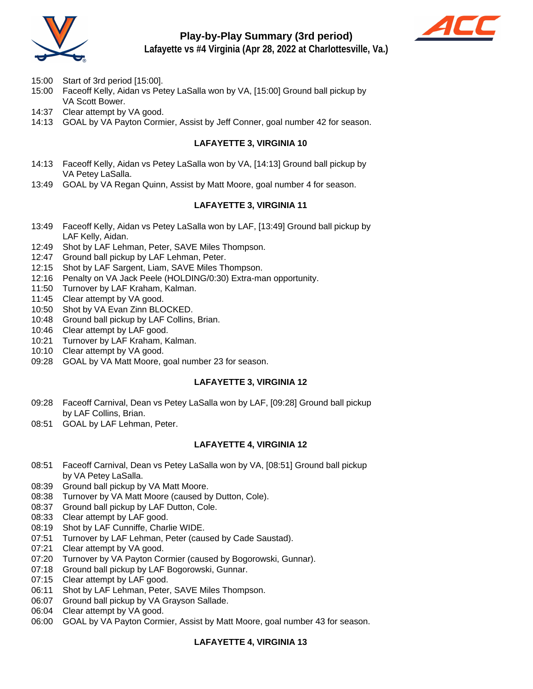

# **Play-by-Play Summary (3rd period)**



**Lafayette vs #4 Virginia (Apr 28, 2022 at Charlottesville, Va.)**

- 15:00 Start of 3rd period [15:00].
- 15:00 Faceoff Kelly, Aidan vs Petey LaSalla won by VA, [15:00] Ground ball pickup by VA Scott Bower.
- 14:37 Clear attempt by VA good.
- 14:13 GOAL by VA Payton Cormier, Assist by Jeff Conner, goal number 42 for season.

# **LAFAYETTE 3, VIRGINIA 10**

- 14:13 Faceoff Kelly, Aidan vs Petey LaSalla won by VA, [14:13] Ground ball pickup by VA Petey LaSalla.
- 13:49 GOAL by VA Regan Quinn, Assist by Matt Moore, goal number 4 for season.

# **LAFAYETTE 3, VIRGINIA 11**

- 13:49 Faceoff Kelly, Aidan vs Petey LaSalla won by LAF, [13:49] Ground ball pickup by LAF Kelly, Aidan.
- 12:49 Shot by LAF Lehman, Peter, SAVE Miles Thompson.
- 12:47 Ground ball pickup by LAF Lehman, Peter.
- 12:15 Shot by LAF Sargent, Liam, SAVE Miles Thompson.
- 12:16 Penalty on VA Jack Peele (HOLDING/0:30) Extra-man opportunity.
- 11:50 Turnover by LAF Kraham, Kalman.
- 11:45 Clear attempt by VA good.
- 10:50 Shot by VA Evan Zinn BLOCKED.
- 10:48 Ground ball pickup by LAF Collins, Brian.
- 10:46 Clear attempt by LAF good.
- 10:21 Turnover by LAF Kraham, Kalman.
- 10:10 Clear attempt by VA good.
- 09:28 GOAL by VA Matt Moore, goal number 23 for season.

## **LAFAYETTE 3, VIRGINIA 12**

- 09:28 Faceoff Carnival, Dean vs Petey LaSalla won by LAF, [09:28] Ground ball pickup by LAF Collins, Brian.
- 08:51 GOAL by LAF Lehman, Peter.

## **LAFAYETTE 4, VIRGINIA 12**

- 08:51 Faceoff Carnival, Dean vs Petey LaSalla won by VA, [08:51] Ground ball pickup by VA Petey LaSalla.
- 08:39 Ground ball pickup by VA Matt Moore.
- 08:38 Turnover by VA Matt Moore (caused by Dutton, Cole).
- 08:37 Ground ball pickup by LAF Dutton, Cole.
- 08:33 Clear attempt by LAF good.
- 08:19 Shot by LAF Cunniffe, Charlie WIDE.
- 07:51 Turnover by LAF Lehman, Peter (caused by Cade Saustad).
- 07:21 Clear attempt by VA good.
- 07:20 Turnover by VA Payton Cormier (caused by Bogorowski, Gunnar).
- 07:18 Ground ball pickup by LAF Bogorowski, Gunnar.
- 07:15 Clear attempt by LAF good.
- 06:11 Shot by LAF Lehman, Peter, SAVE Miles Thompson.
- 06:07 Ground ball pickup by VA Grayson Sallade.
- 06:04 Clear attempt by VA good.
- 06:00 GOAL by VA Payton Cormier, Assist by Matt Moore, goal number 43 for season.

# **LAFAYETTE 4, VIRGINIA 13**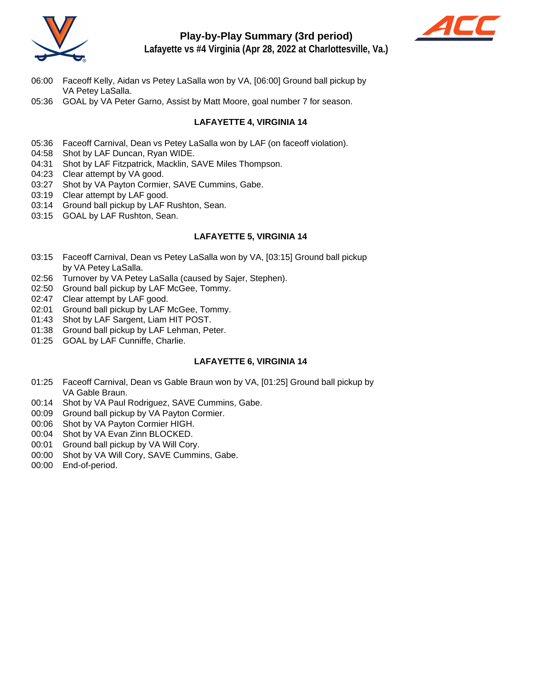

# **Play-by-Play Summary (3rd period)**



**Lafayette vs #4 Virginia (Apr 28, 2022 at Charlottesville, Va.)**

- 06:00 Faceoff Kelly, Aidan vs Petey LaSalla won by VA, [06:00] Ground ball pickup by VA Petey LaSalla.
- 05:36 GOAL by VA Peter Garno, Assist by Matt Moore, goal number 7 for season.

# **LAFAYETTE 4, VIRGINIA 14**

- 05:36 Faceoff Carnival, Dean vs Petey LaSalla won by LAF (on faceoff violation).
- 04:58 Shot by LAF Duncan, Ryan WIDE.
- 04:31 Shot by LAF Fitzpatrick, Macklin, SAVE Miles Thompson.
- 04:23 Clear attempt by VA good.
- 03:27 Shot by VA Payton Cormier, SAVE Cummins, Gabe.
- 03:19 Clear attempt by LAF good.
- 03:14 Ground ball pickup by LAF Rushton, Sean.
- 03:15 GOAL by LAF Rushton, Sean.

## **LAFAYETTE 5, VIRGINIA 14**

- 03:15 Faceoff Carnival, Dean vs Petey LaSalla won by VA, [03:15] Ground ball pickup by VA Petey LaSalla.
- 02:56 Turnover by VA Petey LaSalla (caused by Sajer, Stephen).
- 02:50 Ground ball pickup by LAF McGee, Tommy.
- 02:47 Clear attempt by LAF good.
- 02:01 Ground ball pickup by LAF McGee, Tommy.
- 01:43 Shot by LAF Sargent, Liam HIT POST.
- 01:38 Ground ball pickup by LAF Lehman, Peter.
- 01:25 GOAL by LAF Cunniffe, Charlie.

# **LAFAYETTE 6, VIRGINIA 14**

- 01:25 Faceoff Carnival, Dean vs Gable Braun won by VA, [01:25] Ground ball pickup by VA Gable Braun.
- 00:14 Shot by VA Paul Rodriguez, SAVE Cummins, Gabe.
- 00:09 Ground ball pickup by VA Payton Cormier.
- 00:06 Shot by VA Payton Cormier HIGH.
- 00:04 Shot by VA Evan Zinn BLOCKED.
- 00:01 Ground ball pickup by VA Will Cory.
- 00:00 Shot by VA Will Cory, SAVE Cummins, Gabe.
- 00:00 End-of-period.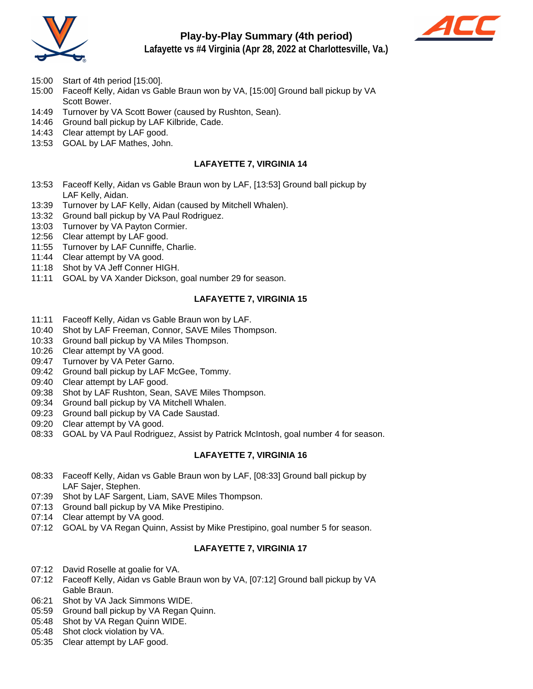

# **Play-by-Play Summary (4th period)**



**Lafayette vs #4 Virginia (Apr 28, 2022 at Charlottesville, Va.)**

- 15:00 Start of 4th period [15:00].
- 15:00 Faceoff Kelly, Aidan vs Gable Braun won by VA, [15:00] Ground ball pickup by VA Scott Bower.
- 14:49 Turnover by VA Scott Bower (caused by Rushton, Sean).
- 14:46 Ground ball pickup by LAF Kilbride, Cade.
- 14:43 Clear attempt by LAF good.
- 13:53 GOAL by LAF Mathes, John.

## **LAFAYETTE 7, VIRGINIA 14**

- 13:53 Faceoff Kelly, Aidan vs Gable Braun won by LAF, [13:53] Ground ball pickup by LAF Kelly, Aidan.
- 13:39 Turnover by LAF Kelly, Aidan (caused by Mitchell Whalen).
- 13:32 Ground ball pickup by VA Paul Rodriguez.
- 13:03 Turnover by VA Payton Cormier.
- 12:56 Clear attempt by LAF good.
- 11:55 Turnover by LAF Cunniffe, Charlie.
- 11:44 Clear attempt by VA good.
- 11:18 Shot by VA Jeff Conner HIGH.
- 11:11 GOAL by VA Xander Dickson, goal number 29 for season.

## **LAFAYETTE 7, VIRGINIA 15**

- 11:11 Faceoff Kelly, Aidan vs Gable Braun won by LAF.
- 10:40 Shot by LAF Freeman, Connor, SAVE Miles Thompson.
- 10:33 Ground ball pickup by VA Miles Thompson.
- 10:26 Clear attempt by VA good.
- 09:47 Turnover by VA Peter Garno.
- 09:42 Ground ball pickup by LAF McGee, Tommy.
- 09:40 Clear attempt by LAF good.
- 09:38 Shot by LAF Rushton, Sean, SAVE Miles Thompson.
- 09:34 Ground ball pickup by VA Mitchell Whalen.
- 09:23 Ground ball pickup by VA Cade Saustad.
- 09:20 Clear attempt by VA good.
- 08:33 GOAL by VA Paul Rodriguez, Assist by Patrick McIntosh, goal number 4 for season.

## **LAFAYETTE 7, VIRGINIA 16**

- 08:33 Faceoff Kelly, Aidan vs Gable Braun won by LAF, [08:33] Ground ball pickup by LAF Sajer, Stephen.
- 07:39 Shot by LAF Sargent, Liam, SAVE Miles Thompson.
- 07:13 Ground ball pickup by VA Mike Prestipino.
- 07:14 Clear attempt by VA good.
- 07:12 GOAL by VA Regan Quinn, Assist by Mike Prestipino, goal number 5 for season.

# **LAFAYETTE 7, VIRGINIA 17**

- 07:12 David Roselle at goalie for VA.
- 07:12 Faceoff Kelly, Aidan vs Gable Braun won by VA, [07:12] Ground ball pickup by VA Gable Braun.
- 06:21 Shot by VA Jack Simmons WIDE.
- 05:59 Ground ball pickup by VA Regan Quinn.
- 05:48 Shot by VA Regan Quinn WIDE.
- 05:48 Shot clock violation by VA.
- 05:35 Clear attempt by LAF good.